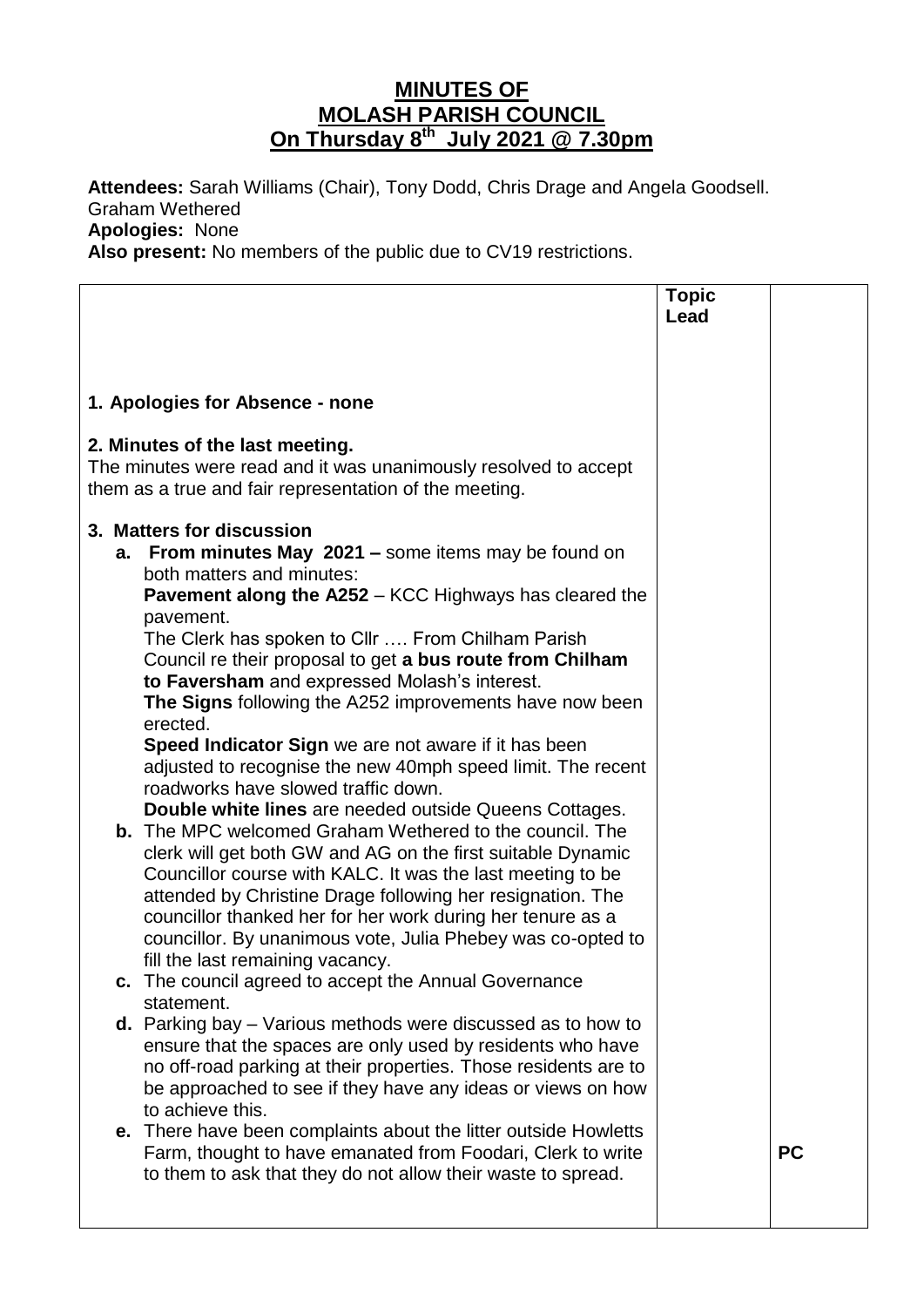## **MINUTES OF MOLASH PARISH COUNCIL On Thursday 8 th July 2021 @ 7.30pm**

**Attendees:** Sarah Williams (Chair), Tony Dodd, Chris Drage and Angela Goodsell. Graham Wethered **Apologies:** None

**Also present:** No members of the public due to CV19 restrictions.

| Lead<br>1. Apologies for Absence - none<br>2. Minutes of the last meeting.<br>The minutes were read and it was unanimously resolved to accept<br>them as a true and fair representation of the meeting.<br>3. Matters for discussion<br>From minutes May 2021 - some items may be found on<br>a.<br>both matters and minutes:<br><b>Pavement along the A252 - KCC Highways has cleared the</b><br>pavement.<br>The Clerk has spoken to Cllr  From Chilham Parish<br>Council re their proposal to get a bus route from Chilham<br>to Faversham and expressed Molash's interest.<br>The Signs following the A252 improvements have now been<br>erected.<br>Speed Indicator Sign we are not aware if it has been<br>adjusted to recognise the new 40mph speed limit. The recent<br>roadworks have slowed traffic down.<br><b>Double white lines</b> are needed outside Queens Cottages.<br><b>b.</b> The MPC welcomed Graham Wethered to the council. The<br>clerk will get both GW and AG on the first suitable Dynamic<br>Councillor course with KALC. It was the last meeting to be<br>attended by Christine Drage following her resignation. The<br>councillor thanked her for her work during her tenure as a<br>councillor. By unanimous vote, Julia Phebey was co-opted to<br>fill the last remaining vacancy.<br>The council agreed to accept the Annual Governance<br>с.<br>statement. |
|----------------------------------------------------------------------------------------------------------------------------------------------------------------------------------------------------------------------------------------------------------------------------------------------------------------------------------------------------------------------------------------------------------------------------------------------------------------------------------------------------------------------------------------------------------------------------------------------------------------------------------------------------------------------------------------------------------------------------------------------------------------------------------------------------------------------------------------------------------------------------------------------------------------------------------------------------------------------------------------------------------------------------------------------------------------------------------------------------------------------------------------------------------------------------------------------------------------------------------------------------------------------------------------------------------------------------------------------------------------------------------------------|
|                                                                                                                                                                                                                                                                                                                                                                                                                                                                                                                                                                                                                                                                                                                                                                                                                                                                                                                                                                                                                                                                                                                                                                                                                                                                                                                                                                                              |
|                                                                                                                                                                                                                                                                                                                                                                                                                                                                                                                                                                                                                                                                                                                                                                                                                                                                                                                                                                                                                                                                                                                                                                                                                                                                                                                                                                                              |
|                                                                                                                                                                                                                                                                                                                                                                                                                                                                                                                                                                                                                                                                                                                                                                                                                                                                                                                                                                                                                                                                                                                                                                                                                                                                                                                                                                                              |
|                                                                                                                                                                                                                                                                                                                                                                                                                                                                                                                                                                                                                                                                                                                                                                                                                                                                                                                                                                                                                                                                                                                                                                                                                                                                                                                                                                                              |
|                                                                                                                                                                                                                                                                                                                                                                                                                                                                                                                                                                                                                                                                                                                                                                                                                                                                                                                                                                                                                                                                                                                                                                                                                                                                                                                                                                                              |
|                                                                                                                                                                                                                                                                                                                                                                                                                                                                                                                                                                                                                                                                                                                                                                                                                                                                                                                                                                                                                                                                                                                                                                                                                                                                                                                                                                                              |
|                                                                                                                                                                                                                                                                                                                                                                                                                                                                                                                                                                                                                                                                                                                                                                                                                                                                                                                                                                                                                                                                                                                                                                                                                                                                                                                                                                                              |
|                                                                                                                                                                                                                                                                                                                                                                                                                                                                                                                                                                                                                                                                                                                                                                                                                                                                                                                                                                                                                                                                                                                                                                                                                                                                                                                                                                                              |
|                                                                                                                                                                                                                                                                                                                                                                                                                                                                                                                                                                                                                                                                                                                                                                                                                                                                                                                                                                                                                                                                                                                                                                                                                                                                                                                                                                                              |
|                                                                                                                                                                                                                                                                                                                                                                                                                                                                                                                                                                                                                                                                                                                                                                                                                                                                                                                                                                                                                                                                                                                                                                                                                                                                                                                                                                                              |
|                                                                                                                                                                                                                                                                                                                                                                                                                                                                                                                                                                                                                                                                                                                                                                                                                                                                                                                                                                                                                                                                                                                                                                                                                                                                                                                                                                                              |
|                                                                                                                                                                                                                                                                                                                                                                                                                                                                                                                                                                                                                                                                                                                                                                                                                                                                                                                                                                                                                                                                                                                                                                                                                                                                                                                                                                                              |
|                                                                                                                                                                                                                                                                                                                                                                                                                                                                                                                                                                                                                                                                                                                                                                                                                                                                                                                                                                                                                                                                                                                                                                                                                                                                                                                                                                                              |
|                                                                                                                                                                                                                                                                                                                                                                                                                                                                                                                                                                                                                                                                                                                                                                                                                                                                                                                                                                                                                                                                                                                                                                                                                                                                                                                                                                                              |
|                                                                                                                                                                                                                                                                                                                                                                                                                                                                                                                                                                                                                                                                                                                                                                                                                                                                                                                                                                                                                                                                                                                                                                                                                                                                                                                                                                                              |
|                                                                                                                                                                                                                                                                                                                                                                                                                                                                                                                                                                                                                                                                                                                                                                                                                                                                                                                                                                                                                                                                                                                                                                                                                                                                                                                                                                                              |
|                                                                                                                                                                                                                                                                                                                                                                                                                                                                                                                                                                                                                                                                                                                                                                                                                                                                                                                                                                                                                                                                                                                                                                                                                                                                                                                                                                                              |
|                                                                                                                                                                                                                                                                                                                                                                                                                                                                                                                                                                                                                                                                                                                                                                                                                                                                                                                                                                                                                                                                                                                                                                                                                                                                                                                                                                                              |
|                                                                                                                                                                                                                                                                                                                                                                                                                                                                                                                                                                                                                                                                                                                                                                                                                                                                                                                                                                                                                                                                                                                                                                                                                                                                                                                                                                                              |
|                                                                                                                                                                                                                                                                                                                                                                                                                                                                                                                                                                                                                                                                                                                                                                                                                                                                                                                                                                                                                                                                                                                                                                                                                                                                                                                                                                                              |
|                                                                                                                                                                                                                                                                                                                                                                                                                                                                                                                                                                                                                                                                                                                                                                                                                                                                                                                                                                                                                                                                                                                                                                                                                                                                                                                                                                                              |
|                                                                                                                                                                                                                                                                                                                                                                                                                                                                                                                                                                                                                                                                                                                                                                                                                                                                                                                                                                                                                                                                                                                                                                                                                                                                                                                                                                                              |
| <b>d.</b> Parking bay $-$ Various methods were discussed as to how to                                                                                                                                                                                                                                                                                                                                                                                                                                                                                                                                                                                                                                                                                                                                                                                                                                                                                                                                                                                                                                                                                                                                                                                                                                                                                                                        |
| ensure that the spaces are only used by residents who have<br>no off-road parking at their properties. Those residents are to                                                                                                                                                                                                                                                                                                                                                                                                                                                                                                                                                                                                                                                                                                                                                                                                                                                                                                                                                                                                                                                                                                                                                                                                                                                                |
| be approached to see if they have any ideas or views on how                                                                                                                                                                                                                                                                                                                                                                                                                                                                                                                                                                                                                                                                                                                                                                                                                                                                                                                                                                                                                                                                                                                                                                                                                                                                                                                                  |
| to achieve this.                                                                                                                                                                                                                                                                                                                                                                                                                                                                                                                                                                                                                                                                                                                                                                                                                                                                                                                                                                                                                                                                                                                                                                                                                                                                                                                                                                             |
| e. There have been complaints about the litter outside Howletts<br><b>PC</b><br>Farm, thought to have emanated from Foodari, Clerk to write                                                                                                                                                                                                                                                                                                                                                                                                                                                                                                                                                                                                                                                                                                                                                                                                                                                                                                                                                                                                                                                                                                                                                                                                                                                  |
| to them to ask that they do not allow their waste to spread.                                                                                                                                                                                                                                                                                                                                                                                                                                                                                                                                                                                                                                                                                                                                                                                                                                                                                                                                                                                                                                                                                                                                                                                                                                                                                                                                 |
|                                                                                                                                                                                                                                                                                                                                                                                                                                                                                                                                                                                                                                                                                                                                                                                                                                                                                                                                                                                                                                                                                                                                                                                                                                                                                                                                                                                              |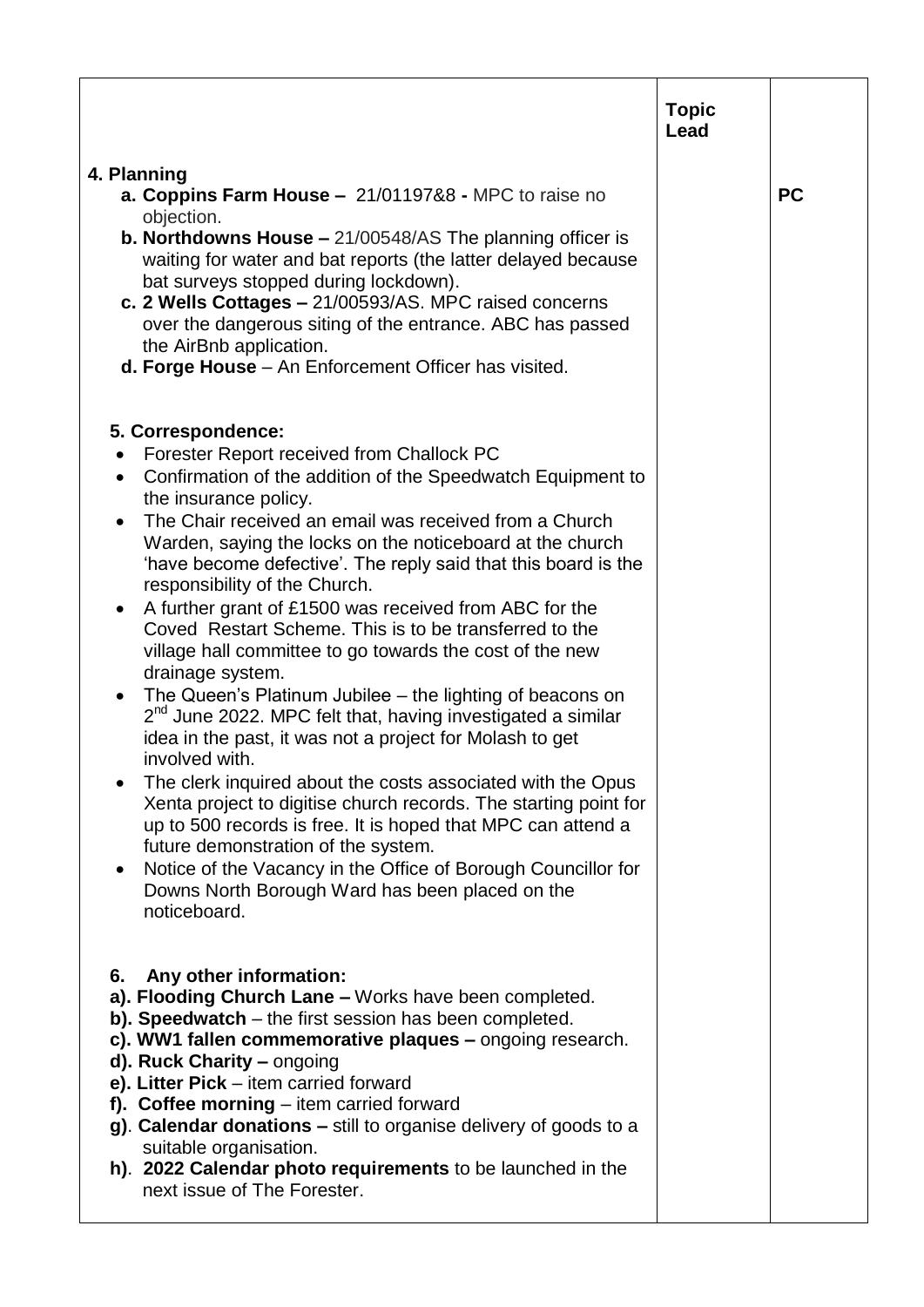|                                                                                                                                                                                                                                                                                                                                                                                                                                                                                                                                                                                                                                                                                                                                                                                                                                                                                                                                                                                                                                                                                                                                                                                              | <b>Topic</b><br>Lead |           |
|----------------------------------------------------------------------------------------------------------------------------------------------------------------------------------------------------------------------------------------------------------------------------------------------------------------------------------------------------------------------------------------------------------------------------------------------------------------------------------------------------------------------------------------------------------------------------------------------------------------------------------------------------------------------------------------------------------------------------------------------------------------------------------------------------------------------------------------------------------------------------------------------------------------------------------------------------------------------------------------------------------------------------------------------------------------------------------------------------------------------------------------------------------------------------------------------|----------------------|-----------|
| 4. Planning<br>a. Coppins Farm House - 21/01197&8 - MPC to raise no                                                                                                                                                                                                                                                                                                                                                                                                                                                                                                                                                                                                                                                                                                                                                                                                                                                                                                                                                                                                                                                                                                                          |                      | <b>PC</b> |
| objection.<br><b>b. Northdowns House –</b> $21/00548/AS$ The planning officer is<br>waiting for water and bat reports (the latter delayed because<br>bat surveys stopped during lockdown).<br>c. 2 Wells Cottages - 21/00593/AS. MPC raised concerns<br>over the dangerous siting of the entrance. ABC has passed<br>the AirBnb application.<br>d. Forge House - An Enforcement Officer has visited.                                                                                                                                                                                                                                                                                                                                                                                                                                                                                                                                                                                                                                                                                                                                                                                         |                      |           |
| 5. Correspondence:<br>Forester Report received from Challock PC<br>Confirmation of the addition of the Speedwatch Equipment to<br>the insurance policy.<br>The Chair received an email was received from a Church<br>Warden, saying the locks on the noticeboard at the church<br>'have become defective'. The reply said that this board is the<br>responsibility of the Church.<br>A further grant of £1500 was received from ABC for the<br>Coved Restart Scheme. This is to be transferred to the<br>village hall committee to go towards the cost of the new<br>drainage system.<br>The Queen's Platinum Jubilee – the lighting of beacons on<br>$\bullet$<br>$2nd$ June 2022. MPC felt that, having investigated a similar<br>idea in the past, it was not a project for Molash to get<br>involved with.<br>The clerk inquired about the costs associated with the Opus<br>Xenta project to digitise church records. The starting point for<br>up to 500 records is free. It is hoped that MPC can attend a<br>future demonstration of the system.<br>Notice of the Vacancy in the Office of Borough Councillor for<br>Downs North Borough Ward has been placed on the<br>noticeboard. |                      |           |
| Any other information:<br>6.<br>a). Flooding Church Lane - Works have been completed.<br>b). Speedwatch - the first session has been completed.<br>c). WW1 fallen commemorative plaques – ongoing research.<br>d). Ruck Charity - ongoing<br>e). Litter Pick - item carried forward<br>f). Coffee morning $-$ item carried forward<br>g). Calendar donations – still to organise delivery of goods to a<br>suitable organisation.<br>h). 2022 Calendar photo requirements to be launched in the<br>next issue of The Forester.                                                                                                                                                                                                                                                                                                                                                                                                                                                                                                                                                                                                                                                               |                      |           |